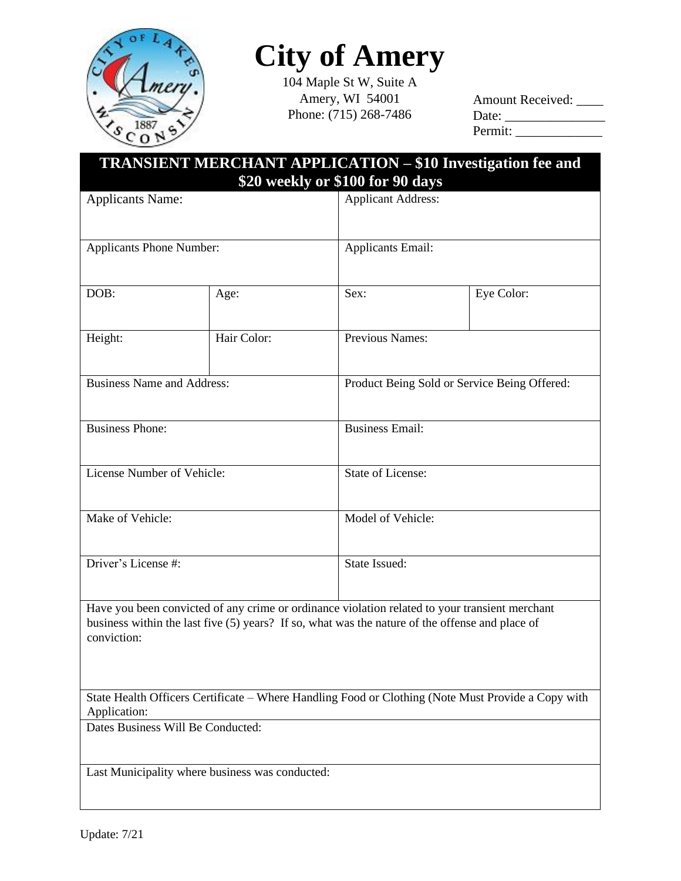

## **City of Amery**

104 Maple St W, Suite A Amery, WI 54001 Phone: (715) 268-7486

| <b>Amount Received:</b>        |  |
|--------------------------------|--|
| Date: $\overline{\phantom{a}}$ |  |
| Permit:                        |  |

| <b>TRANSIENT MERCHANT APPLICATION - \$10 Investigation fee and</b><br>\$20 weekly or \$100 for 90 days |                                                                                                   |                           |                                                                                                    |  |
|--------------------------------------------------------------------------------------------------------|---------------------------------------------------------------------------------------------------|---------------------------|----------------------------------------------------------------------------------------------------|--|
| <b>Applicants Name:</b>                                                                                |                                                                                                   | <b>Applicant Address:</b> |                                                                                                    |  |
| <b>Applicants Phone Number:</b>                                                                        |                                                                                                   | <b>Applicants Email:</b>  |                                                                                                    |  |
| DOB:                                                                                                   | Age:                                                                                              | Sex:                      | Eye Color:                                                                                         |  |
| Height:                                                                                                | Hair Color:                                                                                       | Previous Names:           |                                                                                                    |  |
| <b>Business Name and Address:</b>                                                                      |                                                                                                   |                           | Product Being Sold or Service Being Offered:                                                       |  |
| <b>Business Phone:</b>                                                                                 |                                                                                                   | <b>Business Email:</b>    |                                                                                                    |  |
| License Number of Vehicle:                                                                             |                                                                                                   | State of License:         |                                                                                                    |  |
| Make of Vehicle:                                                                                       |                                                                                                   |                           | Model of Vehicle:                                                                                  |  |
| Driver's License #:                                                                                    |                                                                                                   | <b>State Issued:</b>      |                                                                                                    |  |
| conviction:                                                                                            | business within the last five $(5)$ years? If so, what was the nature of the offense and place of |                           | Have you been convicted of any crime or ordinance violation related to your transient merchant     |  |
| Application:                                                                                           |                                                                                                   |                           | State Health Officers Certificate - Where Handling Food or Clothing (Note Must Provide a Copy with |  |
|                                                                                                        | Dates Business Will Be Conducted:                                                                 |                           |                                                                                                    |  |
|                                                                                                        | Last Municipality where business was conducted:                                                   |                           |                                                                                                    |  |